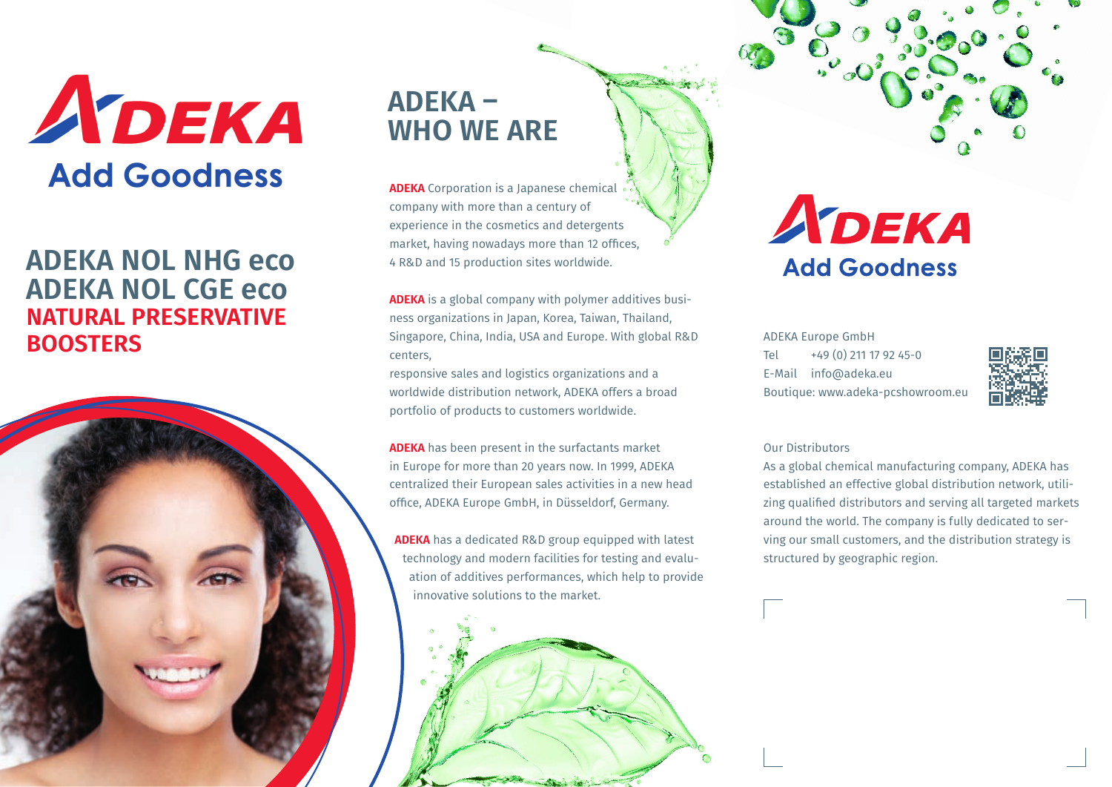

# **ADEKA NOL NHG eco ADEKA NOL CGE eco NATURAL PRESERVATIVE BOOSTERS**



# **ADEKA – WHO WE ARE**

**ADEKA** Corporation is a Japanese chemical company with more than a century of experience in the cosmetics and detergents market, having nowadays more than 12 offices, 4 R&D and 15 production sites worldwide.

**ADEKA** is a global company with polymer additives business organizations in Japan, Korea, Taiwan, Thailand, Singapore, China, India, USA and Europe. With global R&D centers,

responsive sales and logistics organizations and a worldwide distribution network, ADEKA offers a broad portfolio of products to customers worldwide.

**ADEKA** has been present in the surfactants market in Europe for more than 20 years now. In 1999, ADEKA centralized their European sales activities in a new head office, ADEKA Europe GmbH, in Düsseldorf, Germany.

**ADEKA** has a dedicated R&D group equipped with latest technology and modern facilities for testing and evaluation of additives performances, which help to provide innovative solutions to the market.

# ADEKA **Add Goodness**

ADEKA Europe GmbH Tel +49 (0) 211 17 92 45-0 E-Mail info@adeka.eu Boutique: www.adeka-pcshowroom.eu



#### Our Distributors

As a global chemical manufacturing company, ADEKA has established an effective global distribution network, utilizing qualified distributors and serving all targeted markets around the world. The company is fully dedicated to serving our small customers, and the distribution strategy is structured by geographic region.